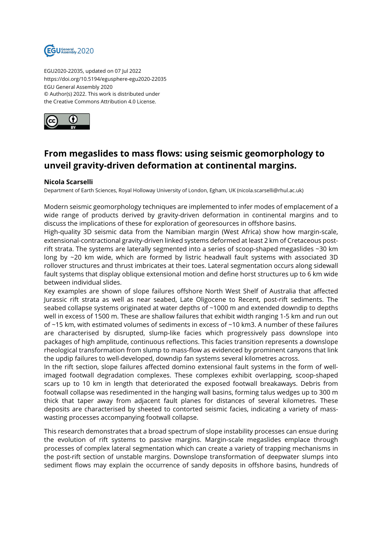

EGU2020-22035, updated on 07 Jul 2022 https://doi.org/10.5194/egusphere-egu2020-22035 EGU General Assembly 2020 © Author(s) 2022. This work is distributed under the Creative Commons Attribution 4.0 License.



## **From megaslides to mass flows: using seismic geomorphology to unveil gravity-driven deformation at continental margins.**

## **Nicola Scarselli**

Department of Earth Sciences, Royal Holloway University of London, Egham, UK (nicola.scarselli@rhul.ac.uk)

Modern seismic geomorphology techniques are implemented to infer modes of emplacement of a wide range of products derived by gravity-driven deformation in continental margins and to discuss the implications of these for exploration of georesources in offshore basins.

High-quality 3D seismic data from the Namibian margin (West Africa) show how margin-scale, extensional-contractional gravity-driven linked systems deformed at least 2 km of Cretaceous postrift strata. The systems are laterally segmented into a series of scoop-shaped megaslides ~30 km long by ~20 km wide, which are formed by listric headwall fault systems with associated 3D rollover structures and thrust imbricates at their toes. Lateral segmentation occurs along sidewall fault systems that display oblique extensional motion and define horst structures up to 6 km wide between individual slides.

Key examples are shown of slope failures offshore North West Shelf of Australia that affected Jurassic rift strata as well as near seabed, Late Oligocene to Recent, post-rift sediments. The seabed collapse systems originated at water depths of ~1000 m and extended downdip to depths well in excess of 1500 m. These are shallow failures that exhibit width ranging 1-5 km and run out of ~15 km, with estimated volumes of sediments in excess of ~10 km3. A number of these failures are characterised by disrupted, slump-like facies which progressively pass downslope into packages of high amplitude, continuous reflections. This facies transition represents a downslope rheological transformation from slump to mass-flow as evidenced by prominent canyons that link the updip failures to well-developed, downdip fan systems several kilometres across.

In the rift section, slope failures affected domino extensional fault systems in the form of wellimaged footwall degradation complexes. These complexes exhibit overlapping, scoop-shaped scars up to 10 km in length that deteriorated the exposed footwall breakaways. Debris from footwall collapse was resedimented in the hanging wall basins, forming talus wedges up to 300 m thick that taper away from adjacent fault planes for distances of several kilometres. These deposits are characterised by sheeted to contorted seismic facies, indicating a variety of masswasting processes accompanying footwall collapse.

This research demonstrates that a broad spectrum of slope instability processes can ensue during the evolution of rift systems to passive margins. Margin-scale megaslides emplace through processes of complex lateral segmentation which can create a variety of trapping mechanisms in the post-rift section of unstable margins. Downslope transformation of deepwater slumps into sediment flows may explain the occurrence of sandy deposits in offshore basins, hundreds of